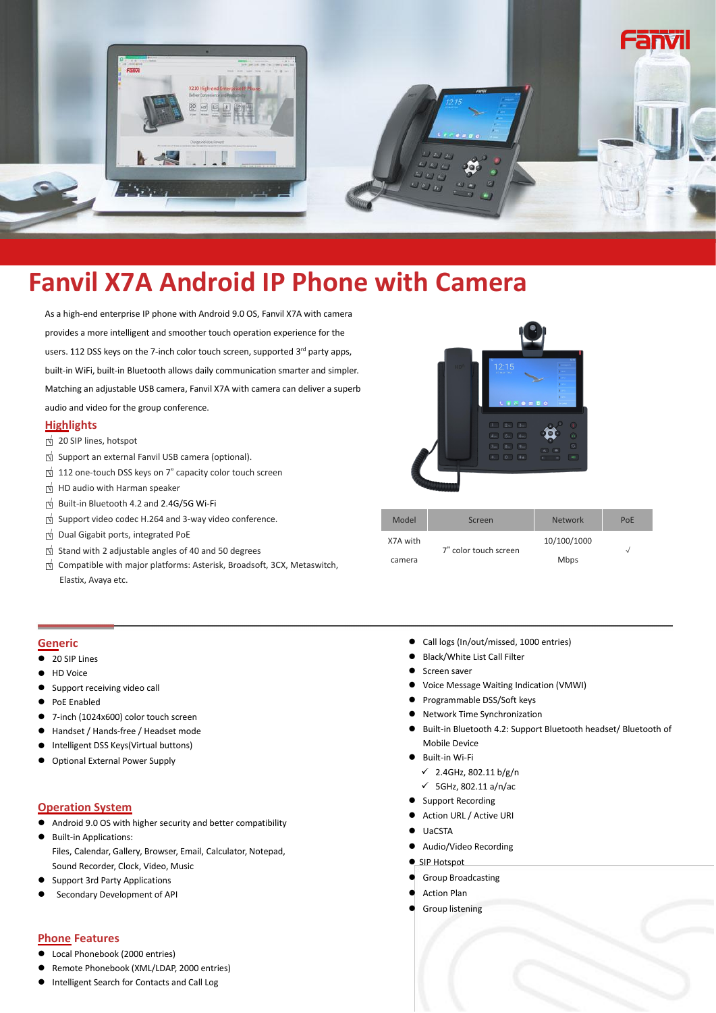

# **Fanvil X7A Android IP Phone with Camera**

As a high-end enterprise IP phone with Android 9.0 OS, Fanvil X7A with camera provides a more intelligent and smoother touch operation experience for the users. 112 DSS keys on the 7-inch color touch screen, supported 3<sup>rd</sup> party apps, built-in WiFi, built-in Bluetooth allows daily communication smarter and simpler. Matching an adjustable USB camera, FanvilX7A with camera can deliver a superb audio and video for the group conference.

## **Highlights**

- □<sup>√</sup> <sup>20</sup> SIP lines, hotspot
- □<sup>√</sup> Support an external Fanvil USB camera (optional).
- □<sup>√</sup> <sup>112</sup> one-touch DSS keys on <sup>7</sup>" capacity color touch screen
- □<sup>√</sup> HD audio with Harman speaker
- □<sup>√</sup> Built-in Bluetooth 4.2 and 2.4G/5G Wi-Fi
- □<sup>√</sup> Support video codec H.264 and 3-way video conference.
- □<sup>√</sup> Dual Gigabit ports, integrated PoE
- □<sup>√</sup> Stand with <sup>2</sup> adjustable angles of <sup>40</sup> and <sup>50</sup> degrees
- □<sup>√</sup> Compatible with major platforms: Asterisk, Broadsoft, 3CX, Metaswitch,



- **Generic**
- 20 SIP Lines
- HD Voice
- Support receiving video call
- PoE Enabled
- 7-inch (1024x600) color touch screen
- Handset / Hands-free / Headset mode
- Intelligent DSS Keys(Virtual buttons)
- Optional External Power Supply

## **Operation System**

- Android 9.0 OS with higher security and better compatibility
- **•** Built-in Applications: Files, Calendar, Gallery, Browser, Email, Calculator, Notepad, Sound Recorder, Clock, Video, Music
- Support 3rd Party Applications
- [Secondary](javascript:;) [Development](javascript:;) of API

## **Phone Features**

- Local Phonebook (2000 entries)
- Remote Phonebook (XML/LDAP, 2000 entries)
- Intelligent Search for Contacts and Call Log



| Support video codec H.264 and 3-way video conference.                  |          | Screen                | <b>Network</b> | PoE |
|------------------------------------------------------------------------|----------|-----------------------|----------------|-----|
| Dual Gigabit ports, integrated PoE                                     | X7A with |                       | 10/100/1000    |     |
| Stand with 2 adjustable angles of 40 and 50 degrees                    |          | 7" color touch screen | <b>Mbps</b>    |     |
| Compatible with major platforms: Asterisk, Broadsoft, 3CX, Metaswitch, | camera   |                       |                |     |
| Elastix, Avaya etc.                                                    |          |                       |                |     |

- Call logs (In/out/missed, 1000 entries)
- Black/White List Call Filter
- **Screen saver**
- Voice Message Waiting Indication (VMWI)
- Programmable DSS/Soft keys
- Network Time Synchronization
- Built-in Bluetooth 4.2: Support Bluetooth headset/ Bluetooth of Mobile Device
- Built-in Wi-Fi
	- $\checkmark$  2.4GHz, 802.11 b/g/n
	- $\checkmark$  5GHz, 802.11 a/n/ac
- Support Recording
- Action URL / Active URI
- UaCSTA
- Audio/Video Recording
- SIP Hotspot
- Group Broadcasting
- Action Plan
- Group listening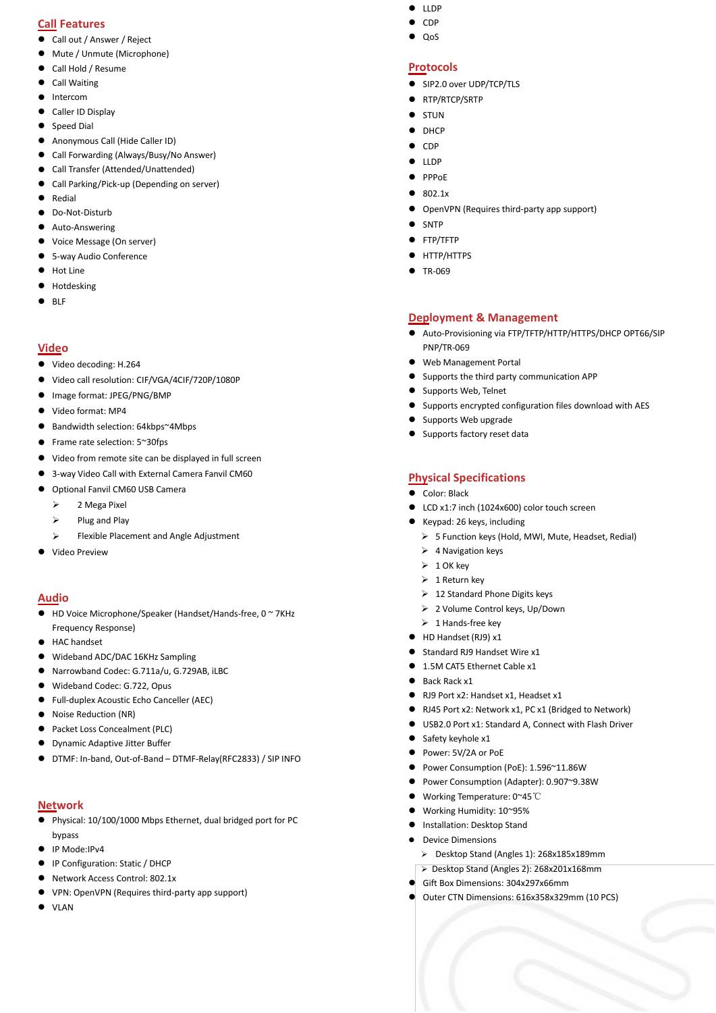## **Call Features**

- Call out / Answer / Reject
- Mute / Unmute (Microphone)
- Call Hold / Resume
- **•** Call Waiting
- **•** Intercom
- Caller ID Display
- Speed Dial
- Anonymous Call (Hide Caller ID)
- Call Forwarding (Always/Busy/No Answer)
- Call Transfer (Attended/Unattended)
- Call Parking/Pick-up (Depending on server)
- **•** Redial
- Do-Not-Disturb
- Auto-Answering
- Voice Message (On server)
- 5-way Audio Conference
- $\bullet$  Hot Line
- **•** Hotdesking
- $\bullet$  BLF

## **Video**

- Video decoding: H.264
- Video call resolution: CIF/VGA/4CIF/720P/1080P
- Image format: JPEG/PNG/BMP
- Video format: MP4
- Bandwidth selection: 64kbps~4Mbps
- Frame rate selection: 5~30fps
- Video from remote site can be displayed in full screen
- 3-way Video Call with External Camera Fanvil CM60
- Optional Fanvil CM60 USB Camera
	- > 2 Mega Pixel
	- $\triangleright$  Plug and Play
	- Flexible Placement and Angle Adjustment
- Video Preview

## **Audio**

- HD Voice Microphone/Speaker (Handset/Hands-free, 0 ~ 7KHz Frequency Response)
- HAC handset
- Wideband ADC/DAC 16KHz Sampling
- Narrowband Codec: G.711a/u, G.729AB, iLBC
- Wideband Codec: G.722, Opus
- Full-duplex Acoustic Echo Canceller (AEC)
- Noise Reduction (NR)
- Packet Loss Concealment (PLC)
- Dynamic Adaptive Jitter Buffer
- DTMF: In-band, Out-of-Band DTMF-Relay(RFC2833) / SIP INFO

#### **Network**

- Physical: 10/100/1000 Mbps Ethernet, dual bridged port for PC bypass
- IP Mode:IPv4
- IP Configuration: Static / DHCP
- Network Access Control: 802.1x
- VPN: OpenVPN (Requires third-party app support)
- $\bullet$  VIAN
- $\bullet$  LLDP
- $\bullet$  CDP
	-
	-
- QoS

#### **Protocols**

- SIP2.0 over UDP/TCP/TLS
- RTP/RTCP/SRTP
- STUN
- DHCP
- $\bullet$  CDP
- $\bullet$  LLDP
- $\bullet$  PPPoE
- 802.1x
- OpenVPN (Requires third-party app support)
- SNTP
- FTP/TFTP
- **•** HTTP/HTTPS
- TR-069

#### **Deployment & Management**

- Auto-Provisioning via FTP/TFTP/HTTP/HTTPS/DHCP OPT66/SIP PNP/TR-069
- Web Management Portal
- Supports the third party communication APP
- Supports Web, Telnet
- Supports encrypted configuration files download with AES
- Supports Web upgrade
- Supports factory reset data

#### **Physical Specifications**

- Color: Black
- LCD x1:7 inch (1024x600) color touch screen
- $\bullet$  Keypad: 26 keys, including
	- $\triangleright$  5 Function keys (Hold, MWI, Mute, Headset, Redial)
	- $\geq 4$  Navigation keys
	- $\geq 1$  OK kev
	- $\geq 1$  Return key
	- 12 Standard Phone Digits keys
	- 2 Volume Control keys, Up/Down
	- $\geq 1$  Hands-free key
- HD Handset (RJ9) x1
- Standard RJ9 Handset Wire x1
- 1.5M CAT5 Ethernet Cable x1
- Back Rack y1
- RJ9 Port x2: Handset x1, Headset x1
- RJ45 Port x2: Network x1, PC x1 (Bridged to Network)
- USB2.0 Port x1: Standard A, Connect with Flash Driver
- $\bullet$  Safety keyhole x1
- Power: 5V/2A or PoE
- Power Consumption (PoE): 1.596~11.86W

 Working Temperature: 0~45℃ ● Working Humidity: 10~95% **•** Installation: Desktop Stand Device Dimensions

Gift Box Dimensions:304x297x66mm

Power Consumption (Adapter): 0.907~9.38W

 Desktop Stand (Angles 1): 268x185x189mm Desktop Stand (Angles 2): 268x201x168mm

Outer CTN Dimensions: 616x358x329mm (10 PCS)